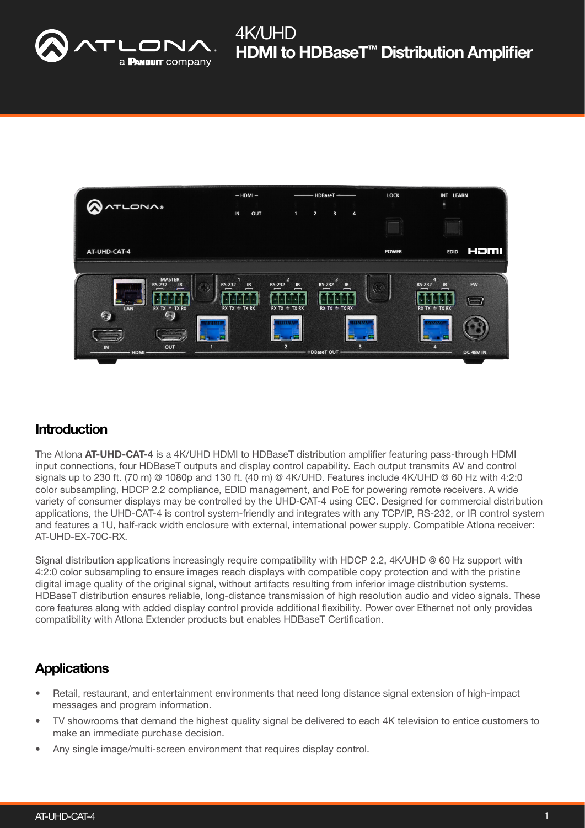



### **Introduction**

The Atlona AT-UHD-CAT-4 is a 4K/UHD HDMI to HDBaseT distribution amplifier featuring pass-through HDMI input connections, four HDBaseT outputs and display control capability. Each output transmits AV and control signals up to 230 ft. (70 m) @ 1080p and 130 ft. (40 m) @ 4K/UHD. Features include 4K/UHD @ 60 Hz with 4:2:0 color subsampling, HDCP 2.2 compliance, EDID management, and PoE for powering remote receivers. A wide variety of consumer displays may be controlled by the UHD-CAT-4 using CEC. Designed for commercial distribution applications, the UHD-CAT-4 is control system-friendly and integrates with any TCP/IP, RS-232, or IR control system and features a 1U, half-rack width enclosure with external, international power supply. Compatible Atlona receiver: AT-UHD-EX-70C-RX.

Signal distribution applications increasingly require compatibility with HDCP 2.2, 4K/UHD @ 60 Hz support with 4:2:0 color subsampling to ensure images reach displays with compatible copy protection and with the pristine digital image quality of the original signal, without artifacts resulting from inferior image distribution systems. HDBaseT distribution ensures reliable, long-distance transmission of high resolution audio and video signals. These core features along with added display control provide additional flexibility. Power over Ethernet not only provides compatibility with Atlona Extender products but enables HDBaseT Certification.

## **Applications**

- Retail, restaurant, and entertainment environments that need long distance signal extension of high-impact messages and program information.
- TV showrooms that demand the highest quality signal be delivered to each 4K television to entice customers to make an immediate purchase decision.
- Any single image/multi-screen environment that requires display control.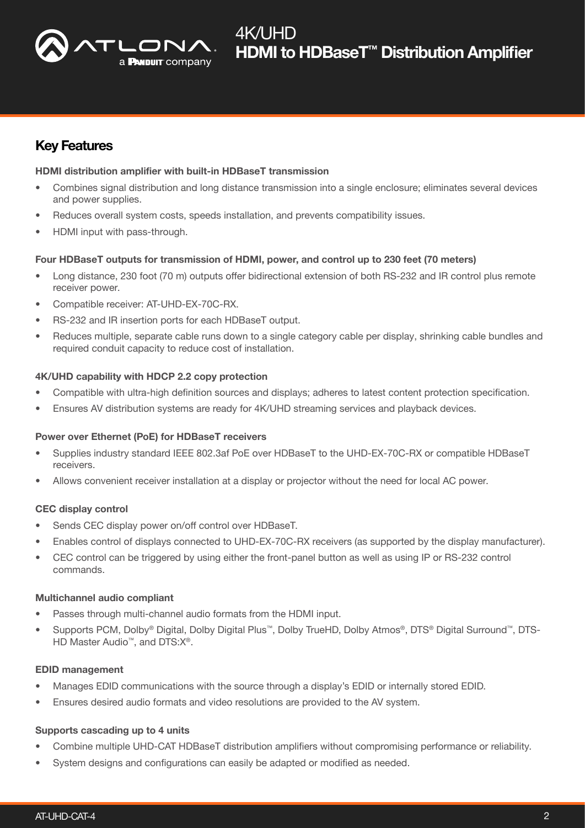

## Key Features

#### HDMI distribution amplifier with built-in HDBaseT transmission

- Combines signal distribution and long distance transmission into a single enclosure; eliminates several devices and power supplies.
- Reduces overall system costs, speeds installation, and prevents compatibility issues.
- HDMI input with pass-through.

#### Four HDBaseT outputs for transmission of HDMI, power, and control up to 230 feet (70 meters)

- Long distance, 230 foot (70 m) outputs offer bidirectional extension of both RS-232 and IR control plus remote receiver power.
- Compatible receiver: AT-UHD-EX-70C-RX.
- RS-232 and IR insertion ports for each HDBaseT output.
- Reduces multiple, separate cable runs down to a single category cable per display, shrinking cable bundles and required conduit capacity to reduce cost of installation.

#### 4K/UHD capability with HDCP 2.2 copy protection

- Compatible with ultra-high definition sources and displays; adheres to latest content protection specification.
- Ensures AV distribution systems are ready for 4K/UHD streaming services and playback devices.

#### Power over Ethernet (PoE) for HDBaseT receivers

- Supplies industry standard IEEE 802.3af PoE over HDBaseT to the UHD-EX-70C-RX or compatible HDBaseT receivers.
- Allows convenient receiver installation at a display or projector without the need for local AC power.

#### CEC display control

- Sends CEC display power on/off control over HDBaseT.
- Enables control of displays connected to UHD-EX-70C-RX receivers (as supported by the display manufacturer).
- CEC control can be triggered by using either the front-panel button as well as using IP or RS-232 control commands.

#### Multichannel audio compliant

- Passes through multi-channel audio formats from the HDMI input.
- Supports PCM, Dolby® Digital, Dolby Digital Plus™, Dolby TrueHD, Dolby Atmos®, DTS® Digital Surround™, DTS-HD Master Audio<sup>™</sup>, and DTS:X<sup>®</sup>.

#### EDID management

- Manages EDID communications with the source through a display's EDID or internally stored EDID.
- Ensures desired audio formats and video resolutions are provided to the AV system.

#### Supports cascading up to 4 units

- Combine multiple UHD-CAT HDBaseT distribution amplifiers without compromising performance or reliability.
- System designs and configurations can easily be adapted or modified as needed.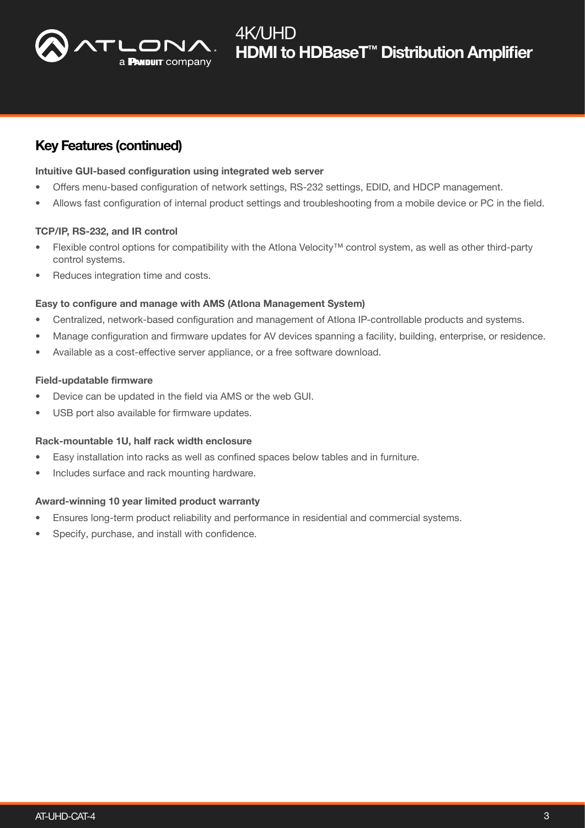

### Key Features (continued)

#### Intuitive GUI-based configuration using integrated web server

- Offers menu-based configuration of network settings, RS-232 settings, EDID, and HDCP management.
- Allows fast configuration of internal product settings and troubleshooting from a mobile device or PC in the field.

#### TCP/IP, RS-232, and IR control

- Flexible control options for compatibility with the Atlona Velocity™ control system, as well as other third-party control systems.
- Reduces integration time and costs.

#### Easy to configure and manage with AMS (Atlona Management System)

- Centralized, network-based configuration and management of Atlona IP-controllable products and systems.
- Manage configuration and firmware updates for AV devices spanning a facility, building, enterprise, or residence.
- Available as a cost-effective server appliance, or a free software download.

#### Field-updatable firmware

- Device can be updated in the field via AMS or the web GUI.
- USB port also available for firmware updates.

#### Rack-mountable 1U, half rack width enclosure

- Easy installation into racks as well as confined spaces below tables and in furniture.
- Includes surface and rack mounting hardware.

#### Award-winning 10 year limited product warranty

- Ensures long-term product reliability and performance in residential and commercial systems.
- Specify, purchase, and install with confidence.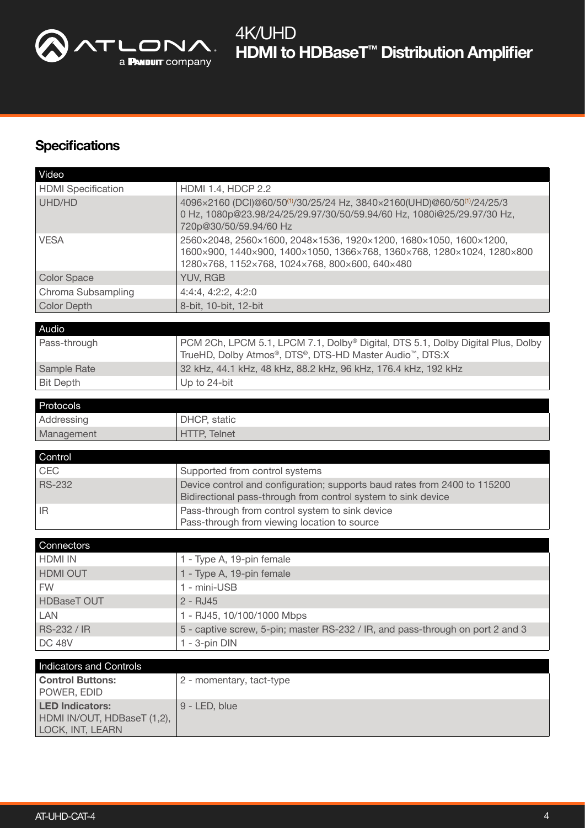

## **Specifications**

| Video                                                 |                                                                                                                                                                                                     |  |  |  |
|-------------------------------------------------------|-----------------------------------------------------------------------------------------------------------------------------------------------------------------------------------------------------|--|--|--|
| <b>HDMI</b> Specification                             | <b>HDMI 1.4, HDCP 2.2</b>                                                                                                                                                                           |  |  |  |
| UHD/HD                                                | 4096×2160 (DCI)@60/50 <sup>(1)</sup> /30/25/24 Hz, 3840×2160(UHD)@60/50 <sup>(1)</sup> /24/25/3<br>0 Hz, 1080p@23.98/24/25/29.97/30/50/59.94/60 Hz, 1080i@25/29.97/30 Hz,<br>720p@30/50/59.94/60 Hz |  |  |  |
| <b>VESA</b>                                           | 2560×2048, 2560×1600, 2048×1536, 1920×1200, 1680×1050, 1600×1200,<br>1600×900, 1440×900, 1400×1050, 1366×768, 1360×768, 1280×1024, 1280×800<br>1280×768, 1152×768, 1024×768, 800×600, 640×480       |  |  |  |
| <b>Color Space</b>                                    | YUV, RGB                                                                                                                                                                                            |  |  |  |
| Chroma Subsampling                                    | 4:4:4, 4:2:2, 4:2:0                                                                                                                                                                                 |  |  |  |
| <b>Color Depth</b>                                    | 8-bit, 10-bit, 12-bit                                                                                                                                                                               |  |  |  |
|                                                       |                                                                                                                                                                                                     |  |  |  |
| Audio<br>Pass-through                                 | PCM 2Ch, LPCM 5.1, LPCM 7.1, Dolby® Digital, DTS 5.1, Dolby Digital Plus, Dolby<br>TrueHD, Dolby Atmos <sup>®</sup> , DTS®, DTS-HD Master Audio <sup>™</sup> , DTS:X                                |  |  |  |
| Sample Rate                                           | 32 kHz, 44.1 kHz, 48 kHz, 88.2 kHz, 96 kHz, 176.4 kHz, 192 kHz                                                                                                                                      |  |  |  |
| <b>Bit Depth</b>                                      | Up to 24-bit                                                                                                                                                                                        |  |  |  |
| Protocols                                             |                                                                                                                                                                                                     |  |  |  |
| Addressing                                            | DHCP, static                                                                                                                                                                                        |  |  |  |
| Management                                            | HTTP, Telnet                                                                                                                                                                                        |  |  |  |
|                                                       |                                                                                                                                                                                                     |  |  |  |
| Control                                               |                                                                                                                                                                                                     |  |  |  |
| <b>CEC</b>                                            | Supported from control systems                                                                                                                                                                      |  |  |  |
| <b>RS-232</b>                                         | Device control and configuration; supports baud rates from 2400 to 115200<br>Bidirectional pass-through from control system to sink device                                                          |  |  |  |
| IR.                                                   | Pass-through from control system to sink device<br>Pass-through from viewing location to source                                                                                                     |  |  |  |
|                                                       |                                                                                                                                                                                                     |  |  |  |
| Connectors                                            |                                                                                                                                                                                                     |  |  |  |
| <b>HDMI IN</b>                                        | 1 - Type A, 19-pin female                                                                                                                                                                           |  |  |  |
| <b>HDMI OUT</b><br><b>FW</b>                          | 1 - Type A, 19-pin female<br>1 - mini-USB                                                                                                                                                           |  |  |  |
|                                                       | $2 - RJ45$                                                                                                                                                                                          |  |  |  |
| <b>HDBaseT OUT</b>                                    |                                                                                                                                                                                                     |  |  |  |
| LAN<br>RS-232 / IR                                    | 1 - RJ45, 10/100/1000 Mbps                                                                                                                                                                          |  |  |  |
| <b>DC 48V</b>                                         | 5 - captive screw, 5-pin; master RS-232 / IR, and pass-through on port 2 and 3<br>1 - 3-pin DIN                                                                                                     |  |  |  |
|                                                       |                                                                                                                                                                                                     |  |  |  |
| <b>Indicators and Controls</b>                        |                                                                                                                                                                                                     |  |  |  |
| <b>Control Buttons:</b><br>POWER, EDID                | 2 - momentary, tact-type                                                                                                                                                                            |  |  |  |
| <b>LED Indicators:</b><br>HDMI IN/OUT, HDBaseT (1,2), | 9 - LED, blue                                                                                                                                                                                       |  |  |  |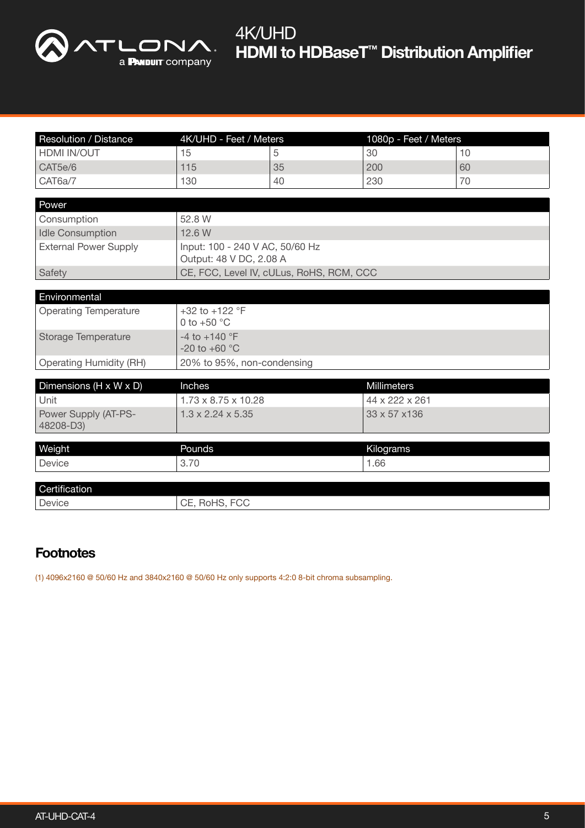

# **HDMI to HDBaseT<sup>™</sup> Distribution Amplifier** 4K/UHD

| <b>Resolution / Distance</b>      | 4K/UHD - Feet / Meters                                     |    | 1080p - Feet / Meters |    |  |  |
|-----------------------------------|------------------------------------------------------------|----|-----------------------|----|--|--|
| HDMI IN/OUT                       | 15                                                         | 5  | 30                    | 10 |  |  |
| CAT5e/6                           | 115                                                        | 35 | 200                   | 60 |  |  |
| CAT6a/7                           | 130                                                        | 40 | 230                   | 70 |  |  |
|                                   |                                                            |    |                       |    |  |  |
| Power                             |                                                            |    |                       |    |  |  |
| Consumption                       | 52.8 W                                                     |    |                       |    |  |  |
| <b>Idle Consumption</b>           | 12.6 W                                                     |    |                       |    |  |  |
| <b>External Power Supply</b>      | Input: 100 - 240 V AC, 50/60 Hz<br>Output: 48 V DC, 2.08 A |    |                       |    |  |  |
| Safety                            | CE, FCC, Level IV, cULus, RoHS, RCM, CCC                   |    |                       |    |  |  |
|                                   |                                                            |    |                       |    |  |  |
| Environmental                     |                                                            |    |                       |    |  |  |
| <b>Operating Temperature</b>      | +32 to +122 $^{\circ}$ F<br>0 to $+50$ °C                  |    |                       |    |  |  |
| <b>Storage Temperature</b>        | $-4$ to $+140$ °F<br>-20 to +60 $^{\circ}$ C               |    |                       |    |  |  |
| <b>Operating Humidity (RH)</b>    | 20% to 95%, non-condensing                                 |    |                       |    |  |  |
|                                   |                                                            |    |                       |    |  |  |
| Dimensions (H x W x D)            | Millimeters<br>Inches                                      |    |                       |    |  |  |
| Unit                              | $1.73 \times 8.75 \times 10.28$<br>44 x 222 x 261          |    |                       |    |  |  |
| Power Supply (AT-PS-<br>48208-D3) | 33 x 57 x 136<br>$1.3 \times 2.24 \times 5.35$             |    |                       |    |  |  |
|                                   |                                                            |    |                       |    |  |  |
| Weight                            | Pounds                                                     |    | Kilograms             |    |  |  |
| Device                            | 3.70<br>1.66                                               |    |                       |    |  |  |
| Certification                     |                                                            |    |                       |    |  |  |
| Device                            | CE, RoHS, FCC                                              |    |                       |    |  |  |
|                                   |                                                            |    |                       |    |  |  |

### **Footnotes**

(1) 4096x2160 @ 50/60 Hz and 3840x2160 @ 50/60 Hz only supports 4:2:0 8-bit chroma subsampling.